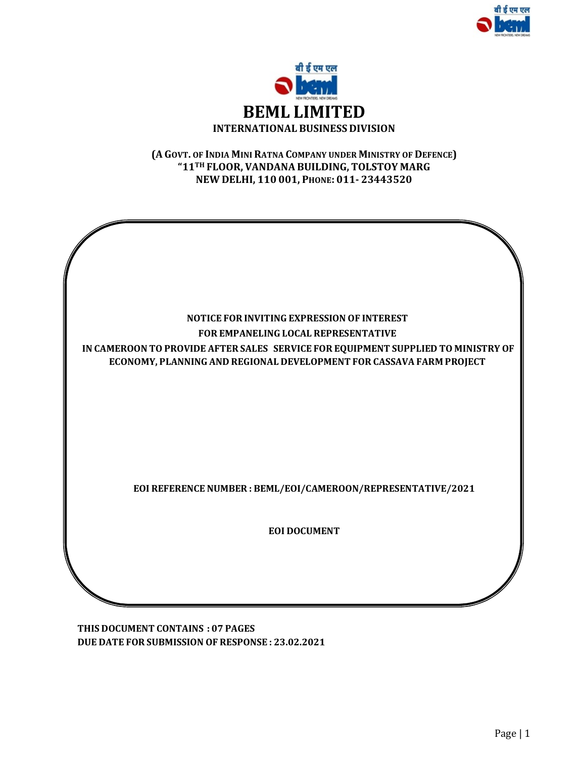



## (A GOVT. OF INDIA MINI RATNA COMPANY UNDER MINISTRY OF DEFENCE) "11TH FLOOR, VANDANA BUILDING, TOLSTOY MARG NEW DELHI, 110 001, PHONE: 011- 23443520



THIS DOCUMENT CONTAINS : 07 PAGES DUE DATE FOR SUBMISSION OF RESPONSE : 23.02.2021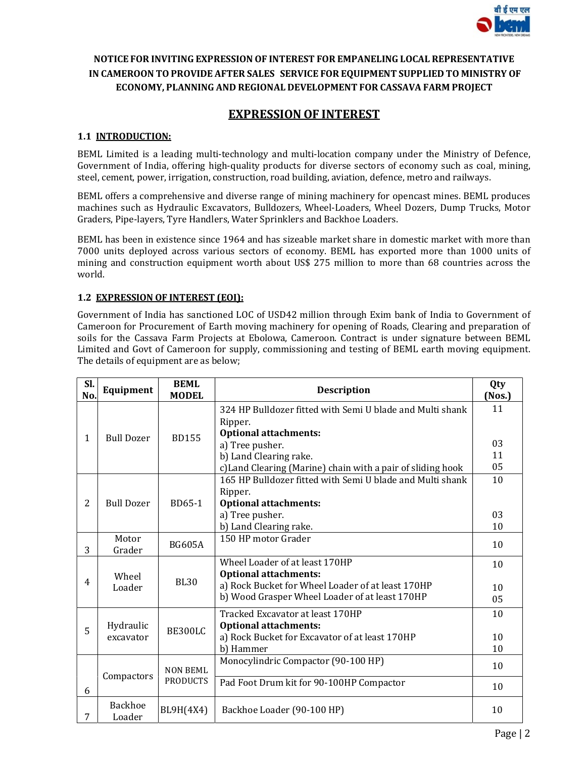

## NOTICE FOR INVITING EXPRESSION OF INTEREST FOR EMPANELING LOCAL REPRESENTATIVE IN CAMEROON TOPROVIDE AFTER SALES SERVICE FOR EQUIPMENT SUPPLIED TO MINISTRY OF ECONOMY, PLANNING AND REGIONAL DEVELOPMENT FOR CASSAVA FARM PROJECT

# EXPRESSION OF INTEREST

#### 1.1 INTRODUCTION:

BEML Limited is a leading multi-technology and multi-location company under the Ministry of Defence, Government of India, offering high-quality products for diverse sectors of economy such as coal, mining, steel, cement, power, irrigation, construction, road building, aviation, defence, metro and railways.

BEML offers a comprehensive and diverse range of mining machinery for opencast mines. BEML produces machines such as Hydraulic Excavators, Bulldozers, Wheel-Loaders, Wheel Dozers, Dump Trucks, Motor Graders, Pipe-layers, Tyre Handlers, Water Sprinklers and Backhoe Loaders.

BEML has been in existence since 1964 and has sizeable market share in domestic market with more than 7000 units deployed across various sectors of economy. BEML has exported more than 1000 units of mining and construction equipment worth about US\$ 275 million to more than 68 countries across the world.

#### 1.2 EXPRESSION OF INTEREST (EOI):

Government of India has sanctioned LOC of USD42 million through Exim bank of India to Government of Cameroon for Procurement of Earth moving machinery for opening of Roads, Clearing and preparation of soils for the Cassava Farm Projects at Ebolowa, Cameroon. Contract is under signature between BEML Limited and Govt of Cameroon for supply, commissioning and testing of BEML earth moving equipment. The details of equipment are as below;

| SI.<br>No.     | Equipment                | <b>BEML</b><br><b>MODEL</b> | <b>Description</b>                                                   |    |
|----------------|--------------------------|-----------------------------|----------------------------------------------------------------------|----|
|                | <b>Bull Dozer</b>        | <b>BD155</b>                | 324 HP Bulldozer fitted with Semi U blade and Multi shank<br>Ripper. | 11 |
| $\mathbf{1}$   |                          |                             | <b>Optional attachments:</b>                                         |    |
|                |                          |                             | a) Tree pusher.                                                      | 03 |
|                |                          |                             | b) Land Clearing rake.                                               | 11 |
|                |                          |                             | c) Land Clearing (Marine) chain with a pair of sliding hook          | 05 |
|                |                          |                             | 165 HP Bulldozer fitted with Semi U blade and Multi shank            | 10 |
| $\overline{2}$ | <b>Bull Dozer</b>        | BD65-1                      | Ripper.                                                              |    |
|                |                          |                             | <b>Optional attachments:</b><br>a) Tree pusher.                      | 03 |
|                |                          |                             | b) Land Clearing rake.                                               | 10 |
|                | Motor                    |                             | 150 HP motor Grader                                                  |    |
| 3              | Grader                   | <b>BG605A</b>               |                                                                      | 10 |
|                |                          |                             | Wheel Loader of at least 170HP                                       | 10 |
|                | Wheel                    |                             | <b>Optional attachments:</b>                                         |    |
| 4              | Loader                   | <b>BL30</b>                 | a) Rock Bucket for Wheel Loader of at least 170HP                    | 10 |
|                |                          |                             | b) Wood Grasper Wheel Loader of at least 170HP                       | 05 |
|                |                          |                             | Tracked Excavator at least 170HP                                     | 10 |
| 5              | Hydraulic                | BE300LC                     | <b>Optional attachments:</b>                                         |    |
|                | excavator                |                             | a) Rock Bucket for Excavator of at least 170HP                       | 10 |
|                |                          |                             | b) Hammer                                                            | 10 |
|                | Compactors               | <b>NON BEML</b>             | Monocylindric Compactor (90-100 HP)                                  | 10 |
| 6              |                          | <b>PRODUCTS</b>             | Pad Foot Drum kit for 90-100HP Compactor                             | 10 |
| 7              | <b>Backhoe</b><br>Loader | BL9H(4X4)                   | Backhoe Loader (90-100 HP)                                           |    |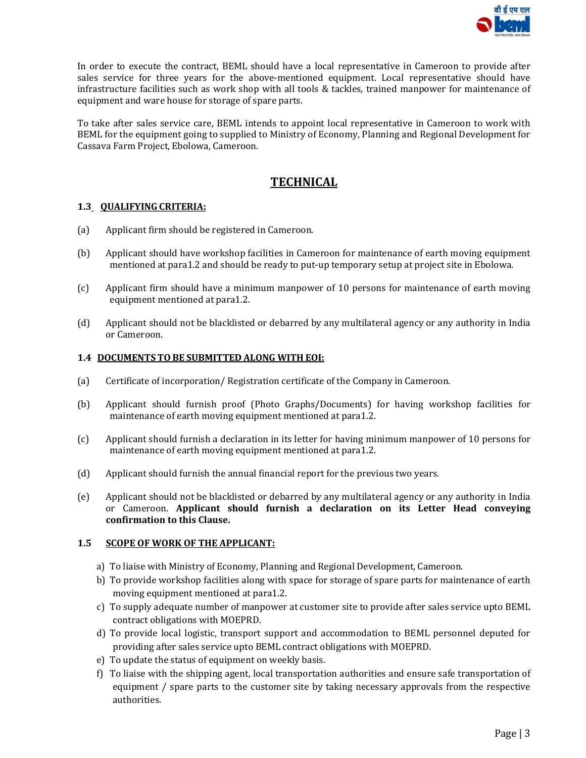

In order to execute the contract, BEML should have a local representative in Cameroon to provide after sales service for three years for the above-mentioned equipment. Local representative should have infrastructure facilities such as work shop with all tools & tackles, trained manpower for maintenance of equipment and ware house for storage of spare parts.

To take after sales service care, BEML intends to appoint local representative in Cameroon to work with BEML for the equipment going to supplied to Ministry of Economy, Planning and Regional Development for Cassava Farm Project, Ebolowa, Cameroon.

# **TECHNICAL**

#### 1.3 QUALIFYING CRITERIA:

- (a) Applicant firm should be registered in Cameroon.
- (b) Applicant should have workshop facilities in Cameroon for maintenance of earth moving equipment mentioned at para1.2 and should be ready to put-up temporary setup at project site in Ebolowa.
- (c) Applicant firm should have a minimum manpower of 10 persons for maintenance of earth moving equipment mentioned at para1.2.
- (d) Applicant should not be blacklisted or debarred by any multilateral agency or any authority in India or Cameroon.

#### 1.4 DOCUMENTS TO BE SUBMITTED ALONG WITH EOI:

- (a) Certificate of incorporation/ Registration certificate of the Company in Cameroon.
- (b) Applicant should furnish proof (Photo Graphs/Documents) for having workshop facilities for maintenance of earth moving equipment mentioned at para1.2.
- (c) Applicant should furnish a declaration in its letter for having minimum manpower of 10 persons for maintenance of earth moving equipment mentioned at para1.2.
- (d) Applicant should furnish the annual financial report for the previous two years.
- (e) Applicant should not be blacklisted or debarred by any multilateral agency or any authority in India or Cameroon. Applicant should furnish a declaration on its Letter Head conveying confirmation to this Clause.

#### 1.5 SCOPE OF WORK OF THE APPLICANT:

- a) To liaise with Ministry of Economy, Planning and Regional Development, Cameroon.
- b) To provide workshop facilities along with space for storage of spare parts for maintenance of earth moving equipment mentioned at para1.2.
- c) To supply adequate number of manpower at customer site to provide after sales service upto BEML contract obligations with MOEPRD.
- d) To provide local logistic, transport support and accommodation to BEML personnel deputed for providing after sales service upto BEML contract obligations with MOEPRD.
- e) To update the status of equipment on weekly basis.
- f) To liaise with the shipping agent, local transportation authorities and ensure safe transportation of equipment / spare parts to the customer site by taking necessary approvals from the respective authorities.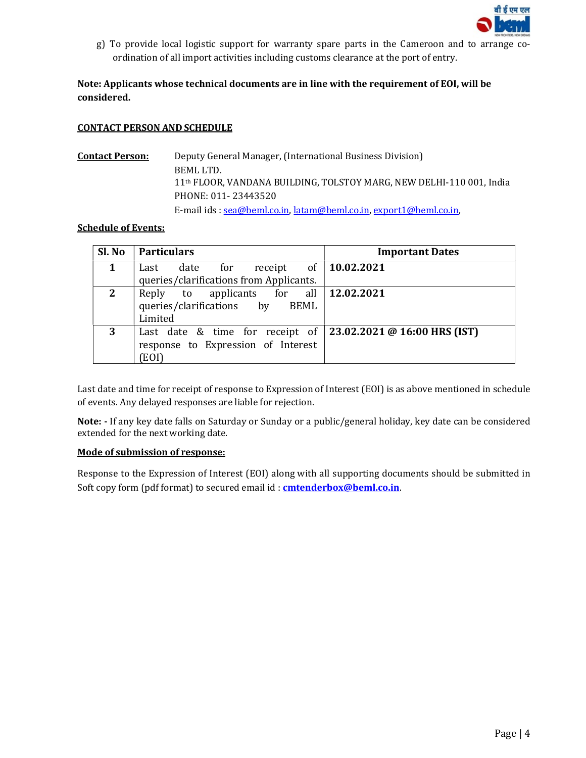

g) To provide local logistic support for warranty spare parts in the Cameroon and to arrange coordination of all import activities including customs clearance at the port of entry.

## Note: Applicants whose technical documents are in line with the requirement of EOI, will be considered.

#### CONTACT PERSON AND SCHEDULE

**Contact Person:** Deputy General Manager, (International Business Division) BEML LTD. 11th FLOOR, VANDANA BUILDING, TOLSTOY MARG, NEW DELHI-110 001, India PHONE: 011- 23443520 E-mail ids : sea@beml.co.in, latam@beml.co.in, export1@beml.co.in,

#### Schedule of Events:

| Sl. No      | <b>Particulars</b>                      | <b>Important Dates</b>       |
|-------------|-----------------------------------------|------------------------------|
| $\mathbf 1$ | of<br>receipt<br>date<br>for<br>Last    | $\vert$ 10.02.2021           |
|             | queries/clarifications from Applicants. |                              |
| 2           | Reply to applicants for all $\vert$     | 12.02.2021                   |
|             | queries/clarifications by BEML          |                              |
|             | Limited                                 |                              |
| 3           | Last date & time for receipt of         | 23.02.2021 @ 16:00 HRS (IST) |
|             | response to Expression of Interest      |                              |
|             | EOI)                                    |                              |

Last date and time for receipt of response to Expression of Interest (EOI) is as above mentioned in schedule of events. Any delayed responses are liable for rejection.

Note: - If any key date falls on Saturday or Sunday or a public/general holiday, key date can be considered extended for the next working date.

#### Mode of submission of response:

Response to the Expression of Interest (EOI) along with all supporting documents should be submitted in Soft copy form (pdf format) to secured email id: **cmtenderbox@beml.co.in**.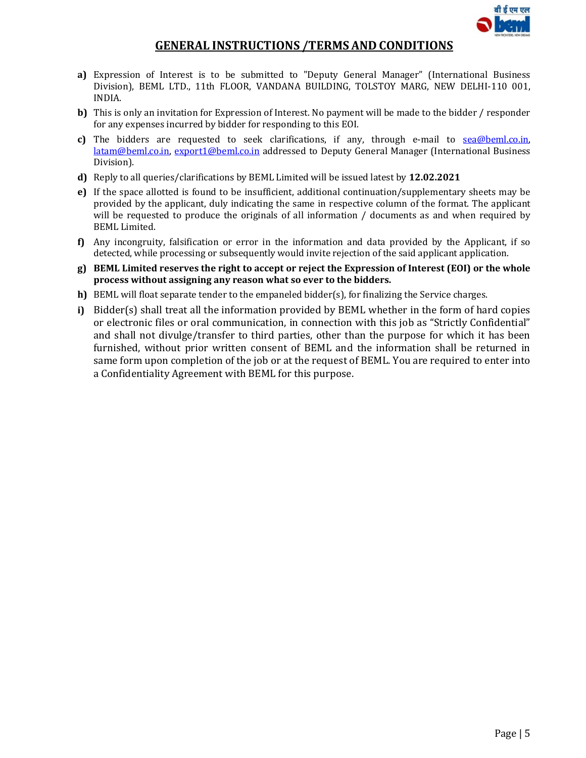

# GENERAL INSTRUCTIONS /TERMS AND CONDITIONS

- a) Expression of Interest is to be submitted to "Deputy General Manager" (International Business Division), BEML LTD., 11th FLOOR, VANDANA BUILDING, TOLSTOY MARG, NEW DELHI-110 001, INDIA.
- b) This is only an invitation for Expression of Interest. No payment will be made to the bidder / responder for any expenses incurred by bidder for responding to this EOI.
- c) The bidders are requested to seek clarifications, if any, through e-mail to  $\frac{seq(\theta beml.co.in)}{seq(\theta b aobl c)}$ latam@beml.co.in, export1@beml.co.in addressed to Deputy General Manager (International Business Division).
- d) Reply to all queries/clarifications by BEML Limited will be issued latest by 12.02.2021
- e) If the space allotted is found to be insufficient, additional continuation/supplementary sheets may be provided by the applicant, duly indicating the same in respective column of the format. The applicant will be requested to produce the originals of all information / documents as and when required by BEML Limited.
- f) Any incongruity, falsification or error in the information and data provided by the Applicant, if so detected, while processing or subsequently would invite rejection of the said applicant application.
- g) BEML Limited reserves the right to accept or reject the Expression of Interest (EOI) or the whole process without assigning any reason what so ever to the bidders.
- h) BEML will float separate tender to the empaneled bidder(s), for finalizing the Service charges.
- i) Bidder(s) shall treat all the information provided by BEML whether in the form of hard copies or electronic files or oral communication, in connection with this job as "Strictly Confidential" and shall not divulge/transfer to third parties, other than the purpose for which it has been furnished, without prior written consent of BEML and the information shall be returned in same form upon completion of the job or at the request of BEML. You are required to enter into a Confidentiality Agreement with BEML for this purpose.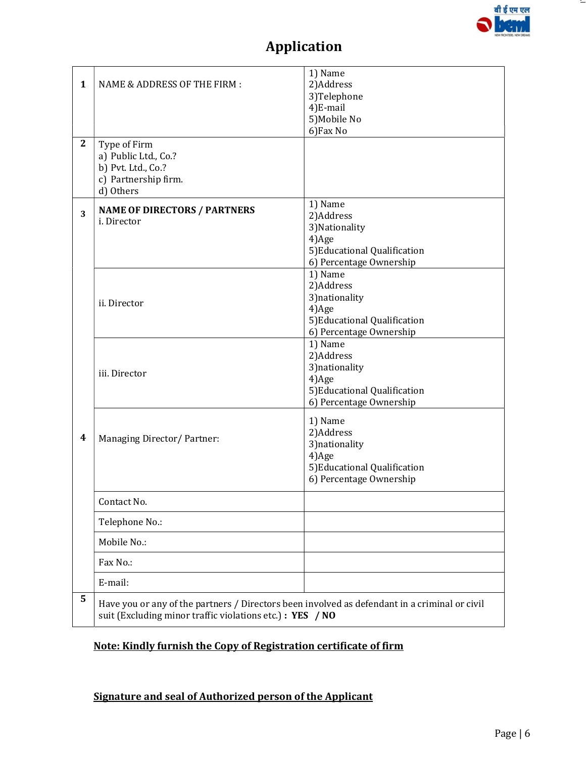

 $-$ 

# Application

| $\mathbf{1}$ | <b>NAME &amp; ADDRESS OF THE FIRM:</b>                                                                                                                    | 1) Name<br>2)Address<br>3)Telephone<br>4)E-mail<br>5) Mobile No<br>6) Fax No                                  |  |  |
|--------------|-----------------------------------------------------------------------------------------------------------------------------------------------------------|---------------------------------------------------------------------------------------------------------------|--|--|
| $\mathbf{2}$ | Type of Firm<br>a) Public Ltd., Co.?<br>b) Pvt. Ltd., Co.?<br>c) Partnership firm.<br>d) Others                                                           |                                                                                                               |  |  |
| 3            | <b>NAME OF DIRECTORS / PARTNERS</b><br>i. Director                                                                                                        | 1) Name<br>2)Address<br>3) Nationality<br>4)Age<br>5) Educational Qualification<br>6) Percentage Ownership    |  |  |
|              | ii. Director                                                                                                                                              | 1) Name<br>2)Address<br>3) nationality<br>4)Age<br>5) Educational Qualification<br>6) Percentage Ownership    |  |  |
|              | iii. Director                                                                                                                                             | 1) Name<br>2)Address<br>3) nationality<br>4)Age<br>5) Educational Qualification<br>6) Percentage Ownership    |  |  |
| 4            | Managing Director/ Partner:                                                                                                                               | 1) Name<br>2)Address<br>3) nationality<br>$4)$ Age<br>5) Educational Qualification<br>6) Percentage Ownership |  |  |
|              | Contact No.                                                                                                                                               |                                                                                                               |  |  |
|              | Telephone No.:                                                                                                                                            |                                                                                                               |  |  |
|              | Mobile No.:                                                                                                                                               |                                                                                                               |  |  |
|              | Fax No.:                                                                                                                                                  |                                                                                                               |  |  |
|              | E-mail:                                                                                                                                                   |                                                                                                               |  |  |
| 5            | Have you or any of the partners / Directors been involved as defendant in a criminal or civil<br>suit (Excluding minor traffic violations etc.): YES / NO |                                                                                                               |  |  |

# Note: Kindly furnish the Copy of Registration certificate of firm

# Signature and seal of Authorized person of the Applicant